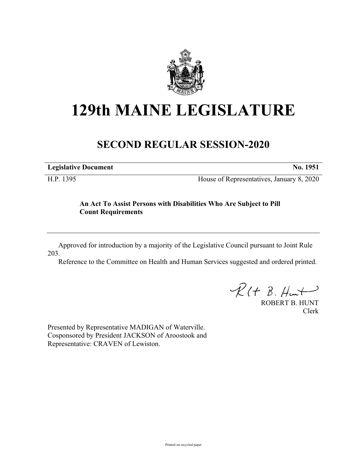

# **129th MAINE LEGISLATURE**

# **SECOND REGULAR SESSION-2020**

| <b>Legislative Document</b> | No. 1951 |
|-----------------------------|----------|
|                             |          |

H.P. 1395 House of Representatives, January 8, 2020

## **An Act To Assist Persons with Disabilities Who Are Subject to Pill Count Requirements**

Approved for introduction by a majority of the Legislative Council pursuant to Joint Rule 203.

Reference to the Committee on Health and Human Services suggested and ordered printed.

 $\mathcal{R}(t \; \mathcal{B}, \mathcal{H}_{\mathsf{int}})$ 

ROBERT B. HUNT Clerk

Presented by Representative MADIGAN of Waterville. Cosponsored by President JACKSON of Aroostook and Representative: CRAVEN of Lewiston.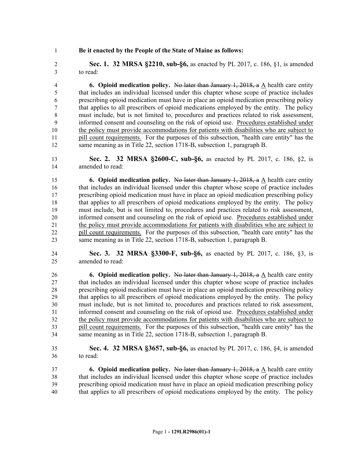### **Be it enacted by the People of the State of Maine as follows:**

 **Sec. 1. 32 MRSA §2210, sub-§6,** as enacted by PL 2017, c. 186, §1, is amended to read:

 **6. Opioid medication policy.** No later than January 1, 2018, a A health care entity that includes an individual licensed under this chapter whose scope of practice includes prescribing opioid medication must have in place an opioid medication prescribing policy that applies to all prescribers of opioid medications employed by the entity. The policy must include, but is not limited to, procedures and practices related to risk assessment, informed consent and counseling on the risk of opioid use. Procedures established under the policy must provide accommodations for patients with disabilities who are subject to 11 pill count requirements. For the purposes of this subsection, "health care entity" has the same meaning as in Title 22, section 1718-B, subsection 1, paragraph B.

 **Sec. 2. 32 MRSA §2600-C, sub-§6,** as enacted by PL 2017, c. 186, §2, is amended to read:

 **6. Opioid medication policy.** No later than January 1, 2018, a A health care entity that includes an individual licensed under this chapter whose scope of practice includes prescribing opioid medication must have in place an opioid medication prescribing policy that applies to all prescribers of opioid medications employed by the entity. The policy must include, but is not limited to, procedures and practices related to risk assessment, informed consent and counseling on the risk of opioid use. Procedures established under the policy must provide accommodations for patients with disabilities who are subject to 22 pill count requirements. For the purposes of this subsection, "health care entity" has the same meaning as in Title 22, section 1718-B, subsection 1, paragraph B.

 **Sec. 3. 32 MRSA §3300-F, sub-§6,** as enacted by PL 2017, c. 186, §3, is amended to read:

**6. Opioid medication policy.** No later than January 1, 2018, a A health care entity that includes an individual licensed under this chapter whose scope of practice includes prescribing opioid medication must have in place an opioid medication prescribing policy that applies to all prescribers of opioid medications employed by the entity. The policy must include, but is not limited to, procedures and practices related to risk assessment, informed consent and counseling on the risk of opioid use. Procedures established under the policy must provide accommodations for patients with disabilities who are subject to pill count requirements. For the purposes of this subsection, "health care entity" has the same meaning as in Title 22, section 1718-B, subsection 1, paragraph B.

 **Sec. 4. 32 MRSA §3657, sub-§6,** as enacted by PL 2017, c. 186, §4, is amended to read:

 **6. Opioid medication policy.** No later than January 1, 2018, a A health care entity that includes an individual licensed under this chapter whose scope of practice includes prescribing opioid medication must have in place an opioid medication prescribing policy that applies to all prescribers of opioid medications employed by the entity. The policy